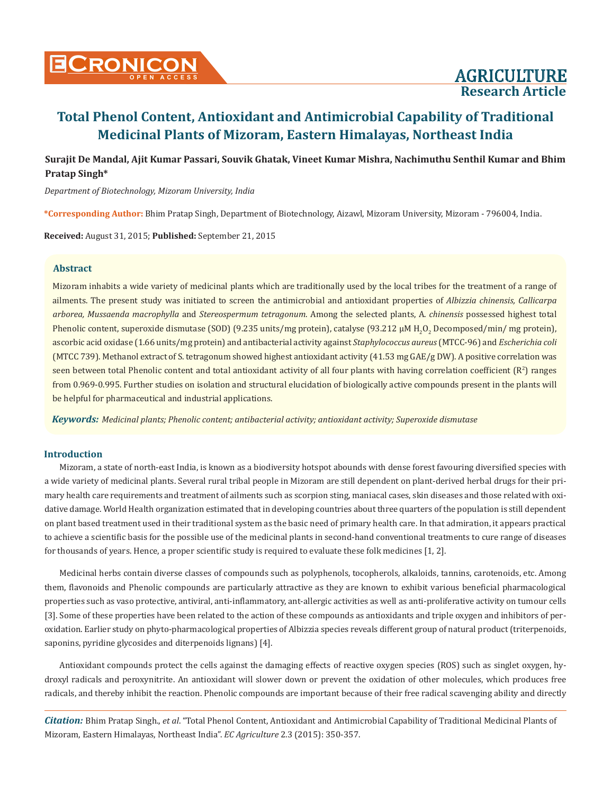

# **Surajit De Mandal, Ajit Kumar Passari, Souvik Ghatak, Vineet Kumar Mishra, Nachimuthu Senthil Kumar and Bhim Pratap Singh\***

*Department of Biotechnology, Mizoram University, India*

**\*Corresponding Author:** Bhim Pratap Singh, Department of Biotechnology, Aizawl, Mizoram University, Mizoram - 796004, India.

**Received:** August 31, 2015; **Published:** September 21, 2015

# **Abstract**

Mizoram inhabits a wide variety of medicinal plants which are traditionally used by the local tribes for the treatment of a range of ailments. The present study was initiated to screen the antimicrobial and antioxidant properties of *Albizzia chinensis, Callicarpa arborea, Mussaenda macrophylla* and *Stereospermum tetragonum*. Among the selected plants, A. *chinensis* possessed highest total Phenolic content, superoxide dismutase (SOD) (9.235 units/mg protein), catalyse (93.212  $\mu$ M H<sub>2</sub>O<sub>2</sub> Decomposed/min/ mg protein), ascorbic acid oxidase (1.66 units/mg protein) and antibacterial activity against *Staphylococcus aureus* (MTCC-96) and *Escherichia coli* (MTCC 739). Methanol extract of S. tetragonum showed highest antioxidant activity (41.53 mg GAE/g DW). A positive correlation was seen between total Phenolic content and total antioxidant activity of all four plants with having correlation coefficient  $(\mathbb{R}^2)$  ranges from 0.969-0.995. Further studies on isolation and structural elucidation of biologically active compounds present in the plants will be helpful for pharmaceutical and industrial applications.

*Keywords: Medicinal plants; Phenolic content; antibacterial activity; antioxidant activity; Superoxide dismutase*

## **Introduction**

Mizoram, a state of north-east India, is known as a biodiversity hotspot abounds with dense forest favouring diversified species with a wide variety of medicinal plants. Several rural tribal people in Mizoram are still dependent on plant-derived herbal drugs for their primary health care requirements and treatment of ailments such as scorpion sting, maniacal cases, skin diseases and those related with oxidative damage. World Health organization estimated that in developing countries about three quarters of the population is still dependent on plant based treatment used in their traditional system as the basic need of primary health care. In that admiration, it appears practical to achieve a scientific basis for the possible use of the medicinal plants in second-hand conventional treatments to cure range of diseases for thousands of years. Hence, a proper scientific study is required to evaluate these folk medicines [1, 2].

Medicinal herbs contain diverse classes of compounds such as polyphenols, tocopherols, alkaloids, tannins, carotenoids, etc. Among them, flavonoids and Phenolic compounds are particularly attractive as they are known to exhibit various beneficial pharmacological properties such as vaso protective, antiviral, anti-inflammatory, ant-allergic activities as well as anti-proliferative activity on tumour cells [3]. Some of these properties have been related to the action of these compounds as antioxidants and triple oxygen and inhibitors of peroxidation. Earlier study on phyto-pharmacological properties of Albizzia species reveals different group of natural product (triterpenoids, saponins, pyridine glycosides and diterpenoids lignans) [4].

Antioxidant compounds protect the cells against the damaging effects of reactive oxygen species (ROS) such as singlet oxygen, hydroxyl radicals and peroxynitrite. An antioxidant will slower down or prevent the oxidation of other molecules, which produces free radicals, and thereby inhibit the reaction. Phenolic compounds are important because of their free radical scavenging ability and directly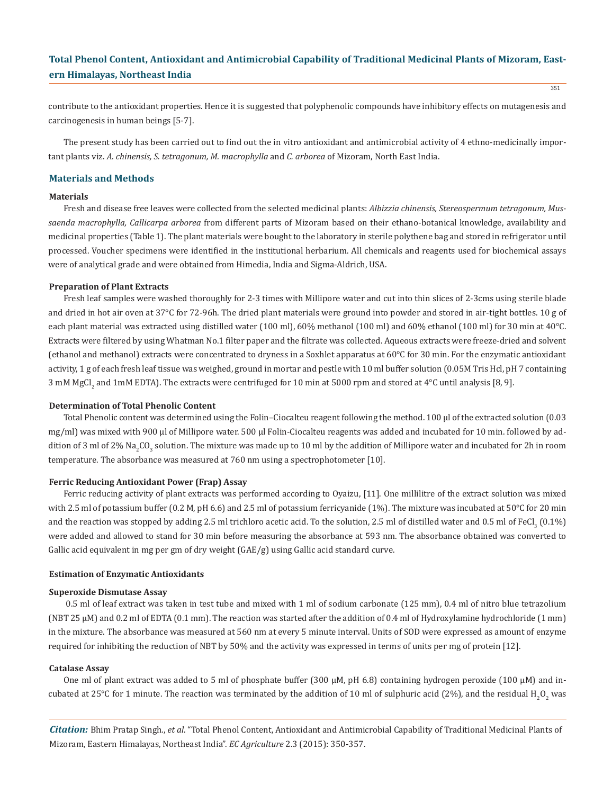351

contribute to the antioxidant properties. Hence it is suggested that polyphenolic compounds have inhibitory effects on mutagenesis and carcinogenesis in human beings [5-7].

The present study has been carried out to find out the in vitro antioxidant and antimicrobial activity of 4 ethno-medicinally important plants viz. *A. chinensis, S. tetragonum, M. macrophylla* and *C. arborea* of Mizoram, North East India.

# **Materials and Methods**

### **Materials**

Fresh and disease free leaves were collected from the selected medicinal plants: *Albizzia chinensis, Stereospermum tetragonum, Mussaenda macrophylla, Callicarpa arborea* from different parts of Mizoram based on their ethano-botanical knowledge, availability and medicinal properties (Table 1). The plant materials were bought to the laboratory in sterile polythene bag and stored in refrigerator until processed. Voucher specimens were identified in the institutional herbarium. All chemicals and reagents used for biochemical assays were of analytical grade and were obtained from Himedia, India and Sigma-Aldrich, USA.

### **Preparation of Plant Extracts**

Fresh leaf samples were washed thoroughly for 2-3 times with Millipore water and cut into thin slices of 2-3cms using sterile blade and dried in hot air oven at 37°C for 72-96h. The dried plant materials were ground into powder and stored in air-tight bottles. 10 g of each plant material was extracted using distilled water (100 ml), 60% methanol (100 ml) and 60% ethanol (100 ml) for 30 min at 40°C. Extracts were filtered by using Whatman No.1 filter paper and the filtrate was collected. Aqueous extracts were freeze-dried and solvent (ethanol and methanol) extracts were concentrated to dryness in a Soxhlet apparatus at 60°C for 30 min. For the enzymatic antioxidant activity, 1 g of each fresh leaf tissue was weighed, ground in mortar and pestle with 10 ml buffer solution (0.05M Tris Hcl, pH 7 containing 3 mM MgCl<sub>2</sub> and ImM EDTA). The extracts were centrifuged for 10 min at 5000 rpm and stored at 4°C until analysis [8, 9].

### **Determination of Total Phenolic Content**

Total Phenolic content was determined using the Folin–Ciocalteu reagent following the method. 100 µl of the extracted solution (0.03 mg/ml) was mixed with 900 µl of Millipore water. 500 µl Folin-Ciocalteu reagents was added and incubated for 10 min. followed by addition of 3 ml of 2% Na<sub>2</sub>CO<sub>3</sub> solution. The mixture was made up to 10 ml by the addition of Millipore water and incubated for 2h in room temperature. The absorbance was measured at 760 nm using a spectrophotometer [10].

#### **Ferric Reducing Antioxidant Power (Frap) Assay**

Ferric reducing activity of plant extracts was performed according to Oyaizu, [11]. One millilitre of the extract solution was mixed with 2.5 ml of potassium buffer (0.2 M, pH 6.6) and 2.5 ml of potassium ferricyanide (1%). The mixture was incubated at 50°C for 20 min and the reaction was stopped by adding 2.5 ml trichloro acetic acid. To the solution, 2.5 ml of distilled water and 0.5 ml of FeCl<sub>3</sub> (0.1%) were added and allowed to stand for 30 min before measuring the absorbance at 593 nm. The absorbance obtained was converted to Gallic acid equivalent in mg per gm of dry weight (GAE/g) using Gallic acid standard curve.

#### **Estimation of Enzymatic Antioxidants**

#### **Superoxide Dismutase Assay**

 0.5 ml of leaf extract was taken in test tube and mixed with 1 ml of sodium carbonate (125 mm), 0.4 ml of nitro blue tetrazolium (NBT 25 µM) and 0.2 ml of EDTA (0.1 mm). The reaction was started after the addition of 0.4 ml of Hydroxylamine hydrochloride (1 mm) in the mixture. The absorbance was measured at 560 nm at every 5 minute interval. Units of SOD were expressed as amount of enzyme required for inhibiting the reduction of NBT by 50% and the activity was expressed in terms of units per mg of protein [12].

#### **Catalase Assay**

One ml of plant extract was added to 5 ml of phosphate buffer (300 μM, pH 6.8) containing hydrogen peroxide (100 μM) and incubated at 25°C for 1 minute. The reaction was terminated by the addition of 10 ml of sulphuric acid (2%), and the residual H<sub>2</sub>O<sub>2</sub> was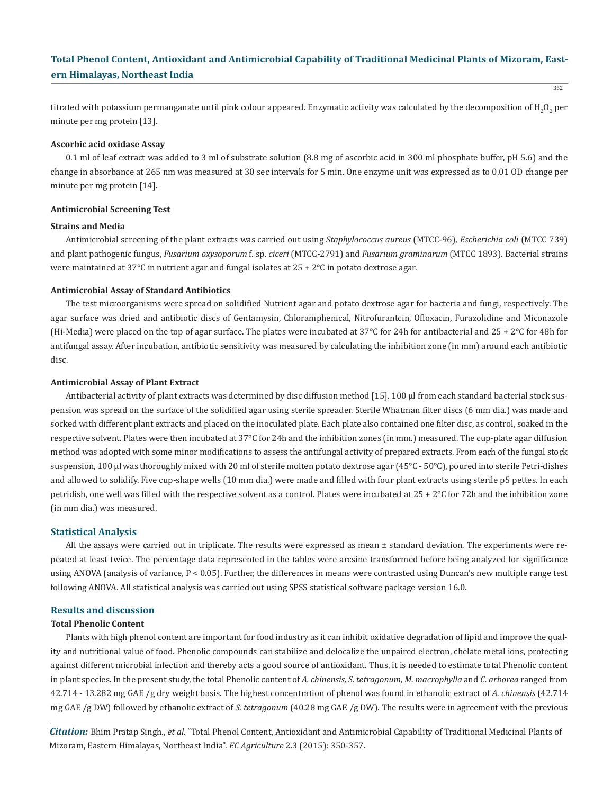352

titrated with potassium permanganate until pink colour appeared. Enzymatic activity was calculated by the decomposition of  $\rm H_2O_2$  per minute per mg protein [13].

### **Ascorbic acid oxidase Assay**

0.1 ml of leaf extract was added to 3 ml of substrate solution (8.8 mg of ascorbic acid in 300 ml phosphate buffer, pH 5.6) and the change in absorbance at 265 nm was measured at 30 sec intervals for 5 min. One enzyme unit was expressed as to 0.01 OD change per minute per mg protein [14].

### **Antimicrobial Screening Test**

#### **Strains and Media**

Antimicrobial screening of the plant extracts was carried out using *Staphylococcus aureus* (MTCC-96), *Escherichia coli* (MTCC 739) and plant pathogenic fungus, *Fusarium oxysoporum* f. sp. *ciceri* (MTCC-2791) and *Fusarium graminarum* (MTCC 1893). Bacterial strains were maintained at 37°C in nutrient agar and fungal isolates at 25 + 2°C in potato dextrose agar.

### **Antimicrobial Assay of Standard Antibiotics**

The test microorganisms were spread on solidified Nutrient agar and potato dextrose agar for bacteria and fungi, respectively. The agar surface was dried and antibiotic discs of Gentamysin, Chloramphenical, Nitrofurantcin, Ofloxacin, Furazolidine and Miconazole (Hi-Media) were placed on the top of agar surface. The plates were incubated at 37°C for 24h for antibacterial and 25 + 2°C for 48h for antifungal assay. After incubation, antibiotic sensitivity was measured by calculating the inhibition zone (in mm) around each antibiotic disc.

### **Antimicrobial Assay of Plant Extract**

Antibacterial activity of plant extracts was determined by disc diffusion method [15]. 100 µl from each standard bacterial stock suspension was spread on the surface of the solidified agar using sterile spreader. Sterile Whatman filter discs (6 mm dia.) was made and socked with different plant extracts and placed on the inoculated plate. Each plate also contained one filter disc, as control, soaked in the respective solvent. Plates were then incubated at 37°C for 24h and the inhibition zones (in mm.) measured. The cup-plate agar diffusion method was adopted with some minor modifications to assess the antifungal activity of prepared extracts. From each of the fungal stock suspension, 100 µl was thoroughly mixed with 20 ml of sterile molten potato dextrose agar (45°C - 50°C), poured into sterile Petri-dishes and allowed to solidify. Five cup-shape wells (10 mm dia.) were made and filled with four plant extracts using sterile p5 pettes. In each petridish, one well was filled with the respective solvent as a control. Plates were incubated at  $25 + 2^{\circ}C$  for 72h and the inhibition zone (in mm dia.) was measured.

### **Statistical Analysis**

All the assays were carried out in triplicate. The results were expressed as mean ± standard deviation. The experiments were repeated at least twice. The percentage data represented in the tables were arcsine transformed before being analyzed for significance using ANOVA (analysis of variance, P < 0.05). Further, the differences in means were contrasted using Duncan's new multiple range test following ANOVA. All statistical analysis was carried out using SPSS statistical software package version 16.0.

### **Results and discussion**

### **Total Phenolic Content**

Plants with high phenol content are important for food industry as it can inhibit oxidative degradation of lipid and improve the quality and nutritional value of food. Phenolic compounds can stabilize and delocalize the unpaired electron, chelate metal ions, protecting against different microbial infection and thereby acts a good source of antioxidant. Thus, it is needed to estimate total Phenolic content in plant species. In the present study, the total Phenolic content of *A. chinensis, S. tetragonum, M. macrophylla* and *C. arborea* ranged from 42.714 - 13.282 mg GAE /g dry weight basis. The highest concentration of phenol was found in ethanolic extract of *A. chinensis* (42.714 mg GAE /g DW) followed by ethanolic extract of *S. tetragonum* (40.28 mg GAE /g DW). The results were in agreement with the previous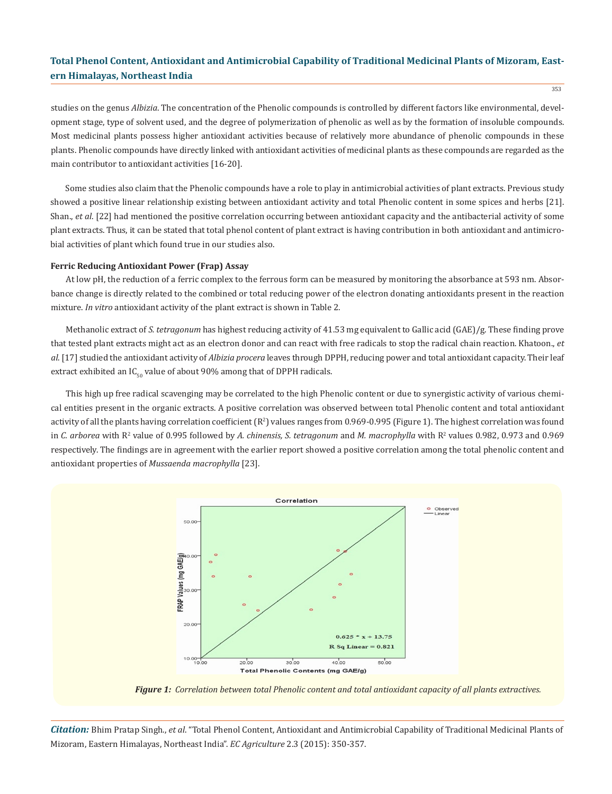353

studies on the genus *Albizia*. The concentration of the Phenolic compounds is controlled by different factors like environmental, development stage, type of solvent used, and the degree of polymerization of phenolic as well as by the formation of insoluble compounds. Most medicinal plants possess higher antioxidant activities because of relatively more abundance of phenolic compounds in these plants. Phenolic compounds have directly linked with antioxidant activities of medicinal plants as these compounds are regarded as the main contributor to antioxidant activities [16-20].

Some studies also claim that the Phenolic compounds have a role to play in antimicrobial activities of plant extracts. Previous study showed a positive linear relationship existing between antioxidant activity and total Phenolic content in some spices and herbs [21]. Shan., *et al*. [22] had mentioned the positive correlation occurring between antioxidant capacity and the antibacterial activity of some plant extracts. Thus, it can be stated that total phenol content of plant extract is having contribution in both antioxidant and antimicrobial activities of plant which found true in our studies also.

#### **Ferric Reducing Antioxidant Power (Frap) Assay**

At low pH, the reduction of a ferric complex to the ferrous form can be measured by monitoring the absorbance at 593 nm. Absorbance change is directly related to the combined or total reducing power of the electron donating antioxidants present in the reaction mixture. *In vitro* antioxidant activity of the plant extract is shown in Table 2.

Methanolic extract of *S. tetragonum* has highest reducing activity of 41.53 mg equivalent to Gallic acid (GAE)/g. These finding prove that tested plant extracts might act as an electron donor and can react with free radicals to stop the radical chain reaction. Khatoon., *et al*. [17] studied the antioxidant activity of *Albizia procera* leaves through DPPH, reducing power and total antioxidant capacity. Their leaf extract exhibited an  $IC_{50}$  value of about 90% among that of DPPH radicals.

This high up free radical scavenging may be correlated to the high Phenolic content or due to synergistic activity of various chemical entities present in the organic extracts. A positive correlation was observed between total Phenolic content and total antioxidant activity of all the plants having correlation coefficient ( $R^2$ ) values ranges from 0.969-0.995 (Figure 1). The highest correlation was found in *C. arborea* with R<sup>2</sup> value of 0.995 followed by A. chinensis, S. tetragonum and M. macrophylla with R<sup>2</sup> values 0.982, 0.973 and 0.969 respectively. The findings are in agreement with the earlier report showed a positive correlation among the total phenolic content and antioxidant properties of *Mussaenda macrophylla* [23].



*Figure 1: Correlation between total Phenolic content and total antioxidant capacity of all plants extractives.*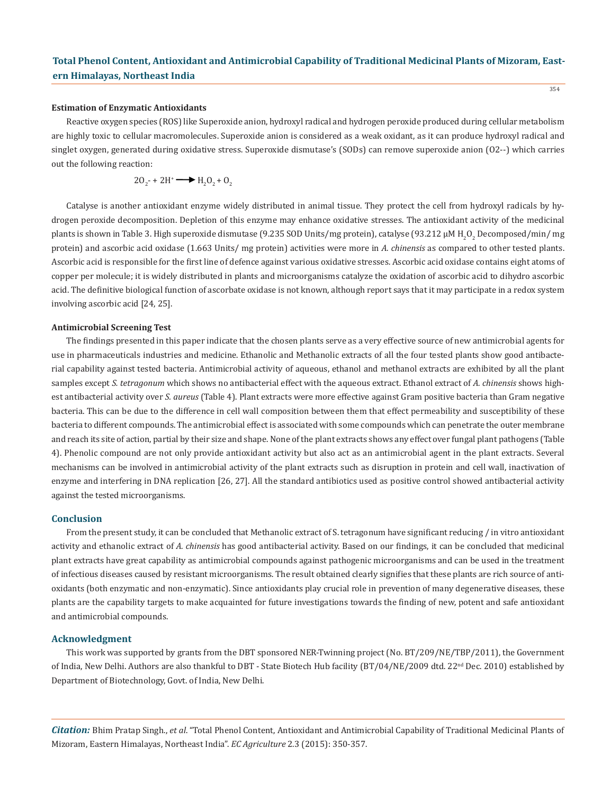#### **Estimation of Enzymatic Antioxidants**

Reactive oxygen species (ROS) like Superoxide anion, hydroxyl radical and hydrogen peroxide produced during cellular metabolism are highly toxic to cellular macromolecules. Superoxide anion is considered as a weak oxidant, as it can produce hydroxyl radical and singlet oxygen, generated during oxidative stress. Superoxide dismutase's (SODs) can remove superoxide anion (O2--) which carries out the following reaction:

$$
20_2 - 2H^+ \longrightarrow H_2O_2 + O_2
$$

Catalyse is another antioxidant enzyme widely distributed in animal tissue. They protect the cell from hydroxyl radicals by hydrogen peroxide decomposition. Depletion of this enzyme may enhance oxidative stresses. The antioxidant activity of the medicinal plants is shown in Table 3. High superoxide dismutase (9.235 SOD Units/mg protein), catalyse (93.212 μM H<sub>2</sub>O<sub>2</sub> Decomposed/min/ mg protein) and ascorbic acid oxidase (1.663 Units/ mg protein) activities were more in *A. chinensis* as compared to other tested plants. Ascorbic acid is responsible for the first line of defence against various oxidative stresses. Ascorbic acid oxidase contains eight atoms of copper per molecule; it is widely distributed in plants and microorganisms catalyze the oxidation of ascorbic acid to dihydro ascorbic acid. The definitive biological function of ascorbate oxidase is not known, although report says that it may participate in a redox system involving ascorbic acid [24, 25].

#### **Antimicrobial Screening Test**

The findings presented in this paper indicate that the chosen plants serve as a very effective source of new antimicrobial agents for use in pharmaceuticals industries and medicine. Ethanolic and Methanolic extracts of all the four tested plants show good antibacterial capability against tested bacteria. Antimicrobial activity of aqueous, ethanol and methanol extracts are exhibited by all the plant samples except *S. tetragonum* which shows no antibacterial effect with the aqueous extract. Ethanol extract of *A. chinensis* shows highest antibacterial activity over *S. aureus* (Table 4). Plant extracts were more effective against Gram positive bacteria than Gram negative bacteria. This can be due to the difference in cell wall composition between them that effect permeability and susceptibility of these bacteria to different compounds. The antimicrobial effect is associated with some compounds which can penetrate the outer membrane and reach its site of action, partial by their size and shape. None of the plant extracts shows any effect over fungal plant pathogens (Table 4). Phenolic compound are not only provide antioxidant activity but also act as an antimicrobial agent in the plant extracts. Several mechanisms can be involved in antimicrobial activity of the plant extracts such as disruption in protein and cell wall, inactivation of enzyme and interfering in DNA replication [26, 27]. All the standard antibiotics used as positive control showed antibacterial activity against the tested microorganisms.

### **Conclusion**

From the present study, it can be concluded that Methanolic extract of S. tetragonum have significant reducing / in vitro antioxidant activity and ethanolic extract of *A. chinensis* has good antibacterial activity. Based on our findings, it can be concluded that medicinal plant extracts have great capability as antimicrobial compounds against pathogenic microorganisms and can be used in the treatment of infectious diseases caused by resistant microorganisms. The result obtained clearly signifies that these plants are rich source of antioxidants (both enzymatic and non-enzymatic). Since antioxidants play crucial role in prevention of many degenerative diseases, these plants are the capability targets to make acquainted for future investigations towards the finding of new, potent and safe antioxidant and antimicrobial compounds.

### **Acknowledgment**

This work was supported by grants from the DBT sponsored NER-Twinning project (No. BT/209/NE/TBP/2011), the Government of India, New Delhi. Authors are also thankful to DBT - State Biotech Hub facility (BT/04/NE/2009 dtd. 22<sup>nd</sup> Dec. 2010) established by Department of Biotechnology, Govt. of India, New Delhi.

*Citation:* Bhim Pratap Singh., *et al*. "Total Phenol Content, Antioxidant and Antimicrobial Capability of Traditional Medicinal Plants of Mizoram, Eastern Himalayas, Northeast India". *EC Agriculture* 2.3 (2015): 350-357.

354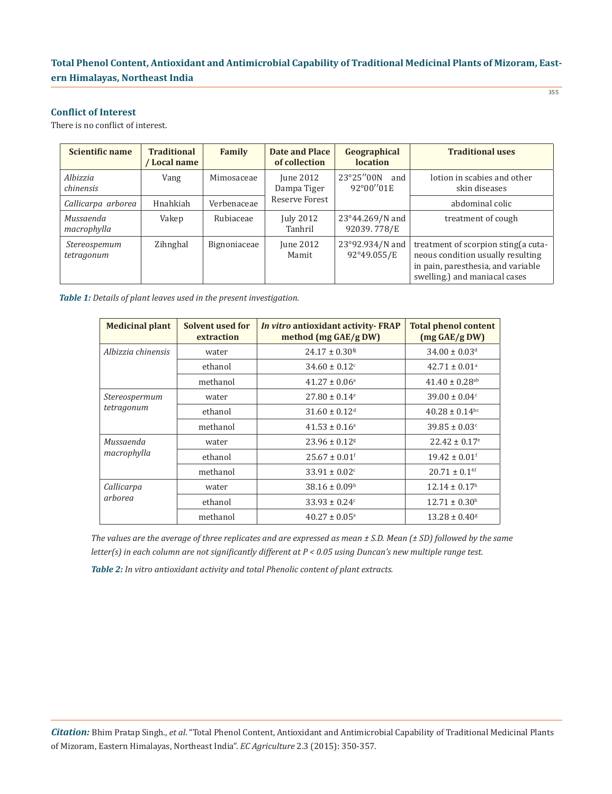# **Conflict of Interest**

There is no conflict of interest.

| Scientific name            | <b>Traditional</b><br>/ Local name | Family       | <b>Date and Place</b><br>of collection | Geographical<br>location       | <b>Traditional uses</b>                                                                                                                          |  |  |
|----------------------------|------------------------------------|--------------|----------------------------------------|--------------------------------|--------------------------------------------------------------------------------------------------------------------------------------------------|--|--|
| Albizzia<br>chinensis      | Vang                               | Mimosaceae   | June $2012$<br>Dampa Tiger             | 23°25″00N<br>and<br>92°00"01E  | lotion in scabies and other<br>skin diseases                                                                                                     |  |  |
| Callicarpa arborea         | Hnahkiah                           | Verbenaceae  | Reserve Forest                         |                                | abdominal colic                                                                                                                                  |  |  |
| Mussaenda<br>macrophylla   | Vakep                              | Rubiaceae    | <b>July 2012</b><br>Tanhril            | 23°44.269/N and<br>92039.778/E | treatment of cough                                                                                                                               |  |  |
| Stereospemum<br>tetragonum | Zihnghal                           | Bignoniaceae | June 2012<br>Mamit                     | 23°92.934/N and<br>92°49.055/E | treatment of scorpion sting (a cuta-<br>neous condition usually resulting<br>in pain, paresthesia, and variable<br>swelling.) and maniacal cases |  |  |

*Table 1: Details of plant leaves used in the present investigation.*

| <b>Medicinal plant</b>      | Solvent used for<br>extraction | In vitro antioxidant activity-FRAP<br>method (mg GAE/g DW) | <b>Total phenol content</b><br>$(mg \, GAE/g \, DW)$ |  |  |  |
|-----------------------------|--------------------------------|------------------------------------------------------------|------------------------------------------------------|--|--|--|
| Albizzia chinensis          | water                          | $24.17 \pm 0.30$ <sup>fg</sup>                             | $34.00 \pm 0.03$ <sup>d</sup>                        |  |  |  |
|                             | ethanol                        | $34.60 \pm 0.12$ <sup>c</sup>                              | $42.71 \pm 0.01^a$                                   |  |  |  |
|                             | methanol                       | $41.27 \pm 0.06^{\circ}$                                   | $41.40 \pm 0.28$ <sup>ab</sup>                       |  |  |  |
| Stereospermum<br>tetragonum | water                          | $27.80 \pm 0.14$ <sup>e</sup>                              | $39.00 \pm 0.04$ <sup>c</sup>                        |  |  |  |
|                             | ethanol                        | $31.60 \pm 0.12$ <sup>d</sup>                              | $40.28 \pm 0.14$ <sup>bc</sup>                       |  |  |  |
|                             | methanol                       | $41.53 \pm 0.16^a$                                         | $39.85 \pm 0.03$ <sup>c</sup>                        |  |  |  |
| Mussaenda                   | water                          | $23.96 \pm 0.12$ <sup>g</sup>                              | $22.42 \pm 0.17$ <sup>e</sup>                        |  |  |  |
| macrophylla                 | ethanol                        | $25.67 \pm 0.01$ <sup>f</sup>                              | $19.42 \pm 0.01$ <sup>f</sup>                        |  |  |  |
|                             | methanol                       | $33.91 \pm 0.02$ <sup>c</sup>                              | $20.71 \pm 0.14$ <sup>f</sup>                        |  |  |  |
| Callicarpa<br>arborea       | water                          | $38.16 \pm 0.09^b$                                         | $12.14 \pm 0.17$ <sup>h</sup>                        |  |  |  |
|                             | ethanol                        | $33.93 \pm 0.24$ <sup>c</sup>                              | $12.71 \pm 0.30$ <sup>h</sup>                        |  |  |  |
|                             | methanol                       | $40.27 \pm 0.05^{\circ}$                                   | $13.28 \pm 0.40$ <sup>g</sup>                        |  |  |  |

*Table 2: In vitro antioxidant activity and total Phenolic content of plant extracts. The values are the average of three replicates and are expressed as mean ± S.D. Mean (± SD) followed by the same letter(s) in each column are not significantly different at P < 0.05 using Duncan's new multiple range test.* 

*Citation:* Bhim Pratap Singh., *et al*. "Total Phenol Content, Antioxidant and Antimicrobial Capability of Traditional Medicinal Plants of Mizoram, Eastern Himalayas, Northeast India". *EC Agriculture* 2.3 (2015): 350-357.

355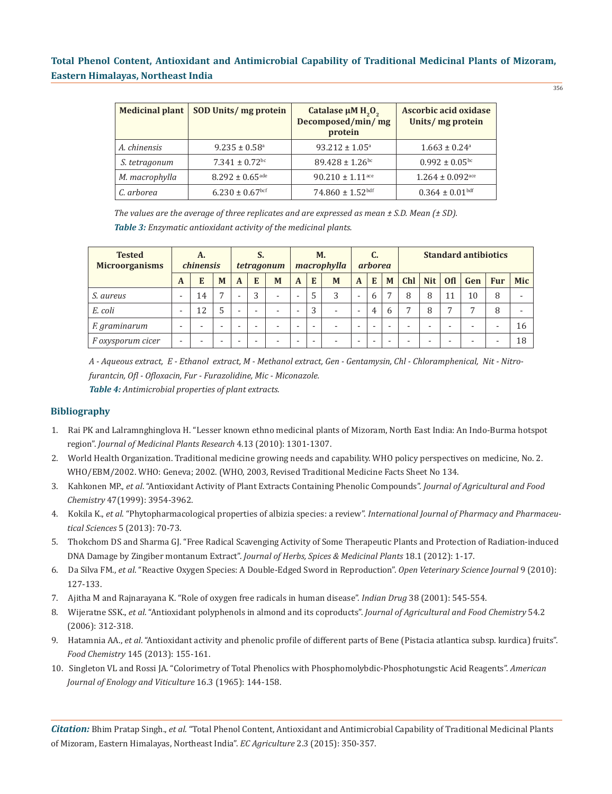356

| <b>Medicinal plant</b> | SOD Units/ mg protein           | Catalase $\mu$ M H <sub>2</sub> O <sub>2</sub><br>Decomposed/min/mg<br>protein | Ascorbic acid oxidase<br>Units/ mg protein |
|------------------------|---------------------------------|--------------------------------------------------------------------------------|--------------------------------------------|
| A. chinensis           | $9.235 \pm 0.58$ <sup>a</sup>   | $93.212 \pm 1.05^a$                                                            | $1.663 \pm 0.24$ <sup>a</sup>              |
| S. tetragonum          | $7.341 \pm 0.72$ <sup>bc</sup>  | $89.428 \pm 1.26$ <sup>bc</sup>                                                | $0.992 \pm 0.05$ <sup>bc</sup>             |
| M. macrophylla         | $8.292 \pm 0.65$ <sup>ade</sup> | $90.210 \pm 1.11$ <sup>ace</sup>                                               | $1.264 \pm 0.092$ <sub>ace</sub>           |
| C. arborea             | $6.230 \pm 0.67$ bcf            | $74.860 \pm 1.52$ bdf                                                          | $0.364 \pm 0.01$ bdf                       |

*The values are the average of three replicates and are expressed as mean ± S.D. Mean (± SD). Table 3: Enzymatic antioxidant activity of the medicinal plants.*

| <b>Tested</b><br><b>Microorganisms</b> | А.<br><i>chinensis</i> |    |                          | S.<br>tetragonum         |   |                          | M.<br>macrophylla        |   | <i>arborea</i>           |                          |                | <b>Standard antibiotics</b> |              |            |            |                          |                          |     |
|----------------------------------------|------------------------|----|--------------------------|--------------------------|---|--------------------------|--------------------------|---|--------------------------|--------------------------|----------------|-----------------------------|--------------|------------|------------|--------------------------|--------------------------|-----|
|                                        | A                      | E  | M                        | $\mathbf{A}$             | E | M                        | $\mathbf{A}$             | E | M                        | $\mathbf{A}$             | E              | M                           | <b>Chl</b>   | <b>Nit</b> | <b>Ofl</b> | Gen                      | <b>Fur</b>               | Mic |
| S. aureus                              | ۰                      | 14 | $\overline{7}$           | $\overline{\phantom{a}}$ | 3 | $\overline{\phantom{a}}$ | $\overline{\phantom{a}}$ | 5 | 3                        | $\overline{\phantom{a}}$ | 6              |                             | 8            | 8          |            | 10                       | 8                        |     |
| E. coli                                | ۰                      | 12 | 5                        | $\overline{\phantom{a}}$ |   | $\overline{\phantom{a}}$ | ۰                        | 3 | $\overline{\phantom{a}}$ | $\overline{\phantom{a}}$ | $\overline{4}$ | 6                           | $\mathbf{r}$ | 8          | 7          | $\overline{ }$           | 8                        |     |
| F. graminarum                          | -                      |    | $\overline{\phantom{a}}$ |                          |   |                          | ۰                        |   |                          | $\overline{\phantom{0}}$ |                |                             |              |            |            | $\overline{\phantom{a}}$ | $\overline{\phantom{a}}$ | 16  |
| F oxysporum cicer                      | ۰                      |    | -                        |                          |   |                          |                          |   |                          | $\overline{\phantom{0}}$ |                |                             |              |            |            | $\overline{\phantom{a}}$ |                          | 18  |

*A - Aqueous extract, E - Ethanol extract, M - Methanol extract, Gen - Gentamysin, Chl - Chloramphenical, Nit - Nitrofurantcin, Ofl - Ofloxacin, Fur - Furazolidine, Mic - Miconazole. Table 4: Antimicrobial properties of plant extracts.*

# **Bibliography**

- 1. Rai PK and Lalramnghinglova H. "Lesser known ethno medicinal plants of Mizoram, North East India: An Indo-Burma hotspot region". *Journal of Medicinal Plants Research* 4.13 (2010): 1301-1307.
- 2. World Health Organization. Traditional medicine growing needs and capability. WHO policy perspectives on medicine, No. 2. WHO/EBM/2002. WHO: Geneva; 2002. (WHO, 2003, Revised Traditional Medicine Facts Sheet No 134.
- 3. Kahkonen MP., *et al*. "Antioxidant Activity of Plant Extracts Containing Phenolic Compounds". *Journal of Agricultural and Food Chemistry* 47(1999): 3954-3962.
- 4. Kokila K., *et al*. "Phytopharmacological properties of albizia species: a review". *International Journal of Pharmacy and Pharmaceu tical Sciences* 5 (2013): 70-73.
- 5. Thokchom DS and Sharma GJ. "Free Radical Scavenging Activity of Some Therapeutic Plants and Protection of Radiation-induced DNA Damage by Zingiber montanum Extract". *Journal of Herbs, Spices & Medicinal Plants* 18.1 (2012): 1-17.
- 6. Da Silva FM., *et al*. "Reactive Oxygen Species: A Double-Edged Sword in Reproduction". *Open Veterinary Science Journal* 9 (2010): 127-133.
- 7. Ajitha M and Rajnarayana K. "Role of oxygen free radicals in human disease". *Indian Drug* 38 (2001): 545-554.
- 8. Wijeratne SSK., *et al*. "Antioxidant polyphenols in almond and its coproducts". *Journal of Agricultural and Food Chemistry* 54.2 (2006): 312-318.
- 9. Hatamnia AA., *et al*. "Antioxidant activity and phenolic profile of different parts of Bene (Pistacia atlantica subsp. kurdica) fruits". *Food Chemistry* 145 (2013): 155-161.
- 10. Singleton VL and Rossi JA. "Colorimetry of Total Phenolics with Phosphomolybdic-Phosphotungstic Acid Reagents". *American Journal of Enology and Viticulture* 16.3 (1965): 144-158.